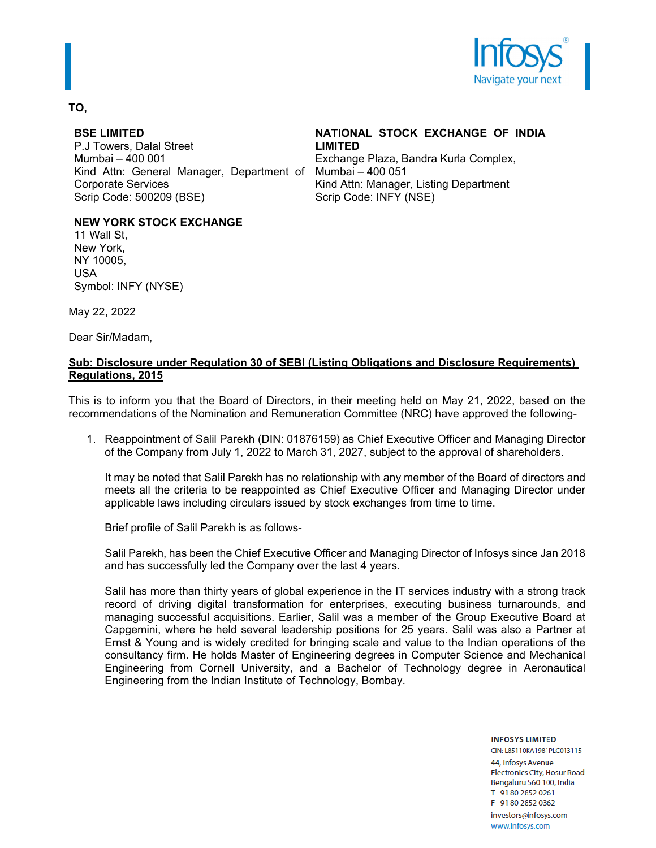

### **TO,**

### **BSE LIMITED**

P.J Towers, Dalal Street Mumbai – 400 001 Kind Attn: General Manager, Department of Corporate Services Scrip Code: 500209 (BSE)

# **NATIONAL STOCK EXCHANGE OF INDIA LIMITED**

Exchange Plaza, Bandra Kurla Complex, Mumbai – 400 051 Kind Attn: Manager, Listing Department Scrip Code: INFY (NSE)

## **NEW YORK STOCK EXCHANGE**

11 Wall St, New York, NY 10005, USA Symbol: INFY (NYSE)

May 22, 2022

Dear Sir/Madam,

### **Sub: Disclosure under Regulation 30 of SEBI (Listing Obligations and Disclosure Requirements) Regulations, 2015**

This is to inform you that the Board of Directors, in their meeting held on May 21, 2022, based on the recommendations of the Nomination and Remuneration Committee (NRC) have approved the following-

1. Reappointment of Salil Parekh (DIN: 01876159) as Chief Executive Officer and Managing Director of the Company from July 1, 2022 to March 31, 2027, subject to the approval of shareholders.

It may be noted that Salil Parekh has no relationship with any member of the Board of directors and meets all the criteria to be reappointed as Chief Executive Officer and Managing Director under applicable laws including circulars issued by stock exchanges from time to time.

Brief profile of Salil Parekh is as follows-

Salil Parekh, has been the Chief Executive Officer and Managing Director of Infosys since Jan 2018 and has successfully led the Company over the last 4 years.

Salil has more than thirty years of global experience in the IT services industry with a strong track record of driving digital transformation for enterprises, executing business turnarounds, and managing successful acquisitions. Earlier, Salil was a member of the Group Executive Board at Capgemini, where he held several leadership positions for 25 years. Salil was also a Partner at Ernst & Young and is widely credited for bringing scale and value to the Indian operations of the consultancy firm. He holds Master of Engineering degrees in Computer Science and Mechanical Engineering from Cornell University, and a Bachelor of Technology degree in Aeronautical Engineering from the Indian Institute of Technology, Bombay.

> **INFOSYS LIMITED** CIN: L85110KA1981PLC013115 44, Infosys Avenue **Electronics City, Hosur Road** Bengaluru 560 100, India T 91 80 2852 0261 F 91 80 2852 0362 investors@infosys.com www.infosys.com